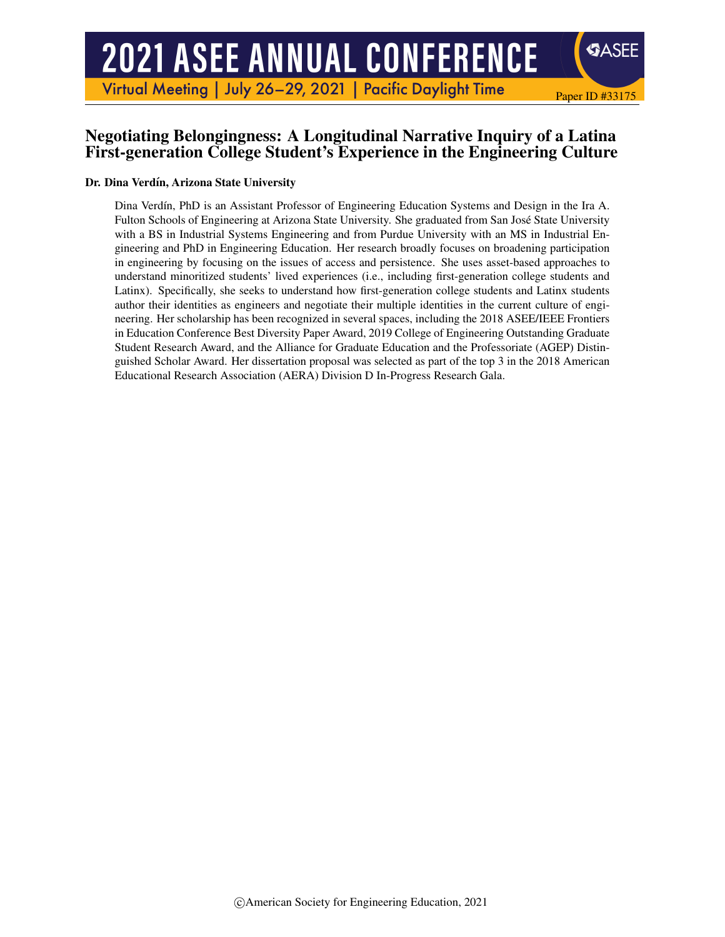# **2021 ASEE ANNUAL CONFERENCE**

Virtual Meeting | July 26-29, 2021 | Pacific Daylight Time

## Negotiating Belongingness: A Longitudinal Narrative Inquiry of a Latina First-generation College Student's Experience in the Engineering Culture

Paper ID #33175

**SASEE** 

#### Dr. Dina Verdín, Arizona State University

Dina Verdín, PhD is an Assistant Professor of Engineering Education Systems and Design in the Ira A. Fulton Schools of Engineering at Arizona State University. She graduated from San Jose State University ´ with a BS in Industrial Systems Engineering and from Purdue University with an MS in Industrial Engineering and PhD in Engineering Education. Her research broadly focuses on broadening participation in engineering by focusing on the issues of access and persistence. She uses asset-based approaches to understand minoritized students' lived experiences (i.e., including first-generation college students and Latinx). Specifically, she seeks to understand how first-generation college students and Latinx students author their identities as engineers and negotiate their multiple identities in the current culture of engineering. Her scholarship has been recognized in several spaces, including the 2018 ASEE/IEEE Frontiers in Education Conference Best Diversity Paper Award, 2019 College of Engineering Outstanding Graduate Student Research Award, and the Alliance for Graduate Education and the Professoriate (AGEP) Distinguished Scholar Award. Her dissertation proposal was selected as part of the top 3 in the 2018 American Educational Research Association (AERA) Division D In-Progress Research Gala.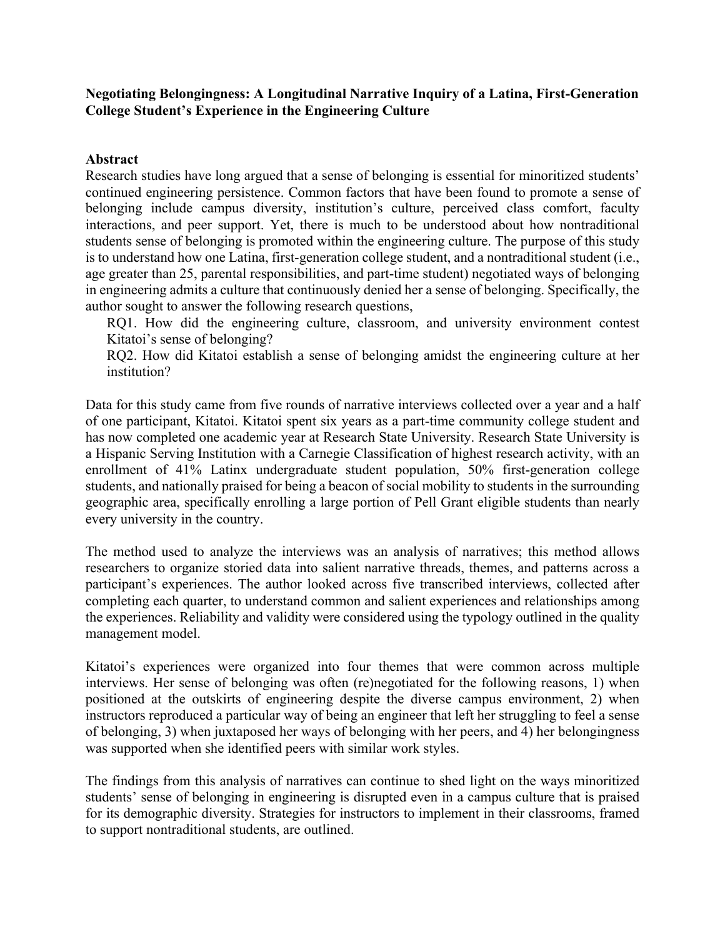## **Negotiating Belongingness: A Longitudinal Narrative Inquiry of a Latina, First-Generation College Student's Experience in the Engineering Culture**

## **Abstract**

Research studies have long argued that a sense of belonging is essential for minoritized students' continued engineering persistence. Common factors that have been found to promote a sense of belonging include campus diversity, institution's culture, perceived class comfort, faculty interactions, and peer support. Yet, there is much to be understood about how nontraditional students sense of belonging is promoted within the engineering culture. The purpose of this study is to understand how one Latina, first-generation college student, and a nontraditional student (i.e., age greater than 25, parental responsibilities, and part-time student) negotiated ways of belonging in engineering admits a culture that continuously denied her a sense of belonging. Specifically, the author sought to answer the following research questions,

RQ1. How did the engineering culture, classroom, and university environment contest Kitatoi's sense of belonging?

RQ2. How did Kitatoi establish a sense of belonging amidst the engineering culture at her institution?

Data for this study came from five rounds of narrative interviews collected over a year and a half of one participant, Kitatoi. Kitatoi spent six years as a part-time community college student and has now completed one academic year at Research State University. Research State University is a Hispanic Serving Institution with a Carnegie Classification of highest research activity, with an enrollment of 41% Latinx undergraduate student population, 50% first-generation college students, and nationally praised for being a beacon of social mobility to students in the surrounding geographic area, specifically enrolling a large portion of Pell Grant eligible students than nearly every university in the country.

The method used to analyze the interviews was an analysis of narratives; this method allows researchers to organize storied data into salient narrative threads, themes, and patterns across a participant's experiences. The author looked across five transcribed interviews, collected after completing each quarter, to understand common and salient experiences and relationships among the experiences. Reliability and validity were considered using the typology outlined in the quality management model.

Kitatoi's experiences were organized into four themes that were common across multiple interviews. Her sense of belonging was often (re)negotiated for the following reasons, 1) when positioned at the outskirts of engineering despite the diverse campus environment, 2) when instructors reproduced a particular way of being an engineer that left her struggling to feel a sense of belonging, 3) when juxtaposed her ways of belonging with her peers, and 4) her belongingness was supported when she identified peers with similar work styles.

The findings from this analysis of narratives can continue to shed light on the ways minoritized students' sense of belonging in engineering is disrupted even in a campus culture that is praised for its demographic diversity. Strategies for instructors to implement in their classrooms, framed to support nontraditional students, are outlined.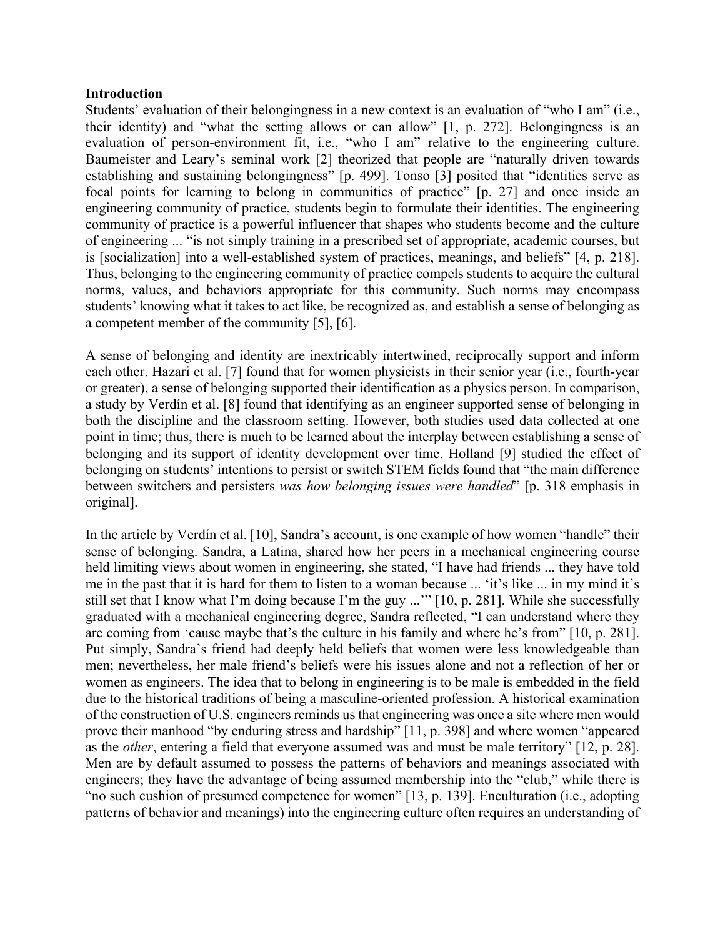#### **Introduction**

Students' evaluation of their belongingness in a new context is an evaluation of "who I am" (i.e., their identity) and "what the setting allows or can allow" [1, p. 272]. Belongingness is an evaluation of person-environment fit, i.e., "who I am" relative to the engineering culture. Baumeister and Leary's seminal work [2] theorized that people are "naturally driven towards establishing and sustaining belongingness" [p. 499]. Tonso [3] posited that "identities serve as focal points for learning to belong in communities of practice" [p. 27] and once inside an engineering community of practice, students begin to formulate their identities. The engineering community of practice is a powerful influencer that shapes who students become and the culture of engineering ... "is not simply training in a prescribed set of appropriate, academic courses, but is [socialization] into a well-established system of practices, meanings, and beliefs" [4, p. 218]. Thus, belonging to the engineering community of practice compels students to acquire the cultural norms, values, and behaviors appropriate for this community. Such norms may encompass students' knowing what it takes to act like, be recognized as, and establish a sense of belonging as a competent member of the community [5], [6].

A sense of belonging and identity are inextricably intertwined, reciprocally support and inform each other. Hazari et al. [7] found that for women physicists in their senior year (i.e., fourth-year or greater), a sense of belonging supported their identification as a physics person. In comparison, a study by Verdín et al. [8] found that identifying as an engineer supported sense of belonging in both the discipline and the classroom setting. However, both studies used data collected at one point in time; thus, there is much to be learned about the interplay between establishing a sense of belonging and its support of identity development over time. Holland [9] studied the effect of belonging on students' intentions to persist or switch STEM fields found that "the main difference between switchers and persisters *was how belonging issues were handled*" [p. 318 emphasis in original].

In the article by Verdín et al. [10], Sandra's account, is one example of how women "handle" their sense of belonging. Sandra, a Latina, shared how her peers in a mechanical engineering course held limiting views about women in engineering, she stated, "I have had friends ... they have told me in the past that it is hard for them to listen to a woman because ... 'it's like ... in my mind it's still set that I know what I'm doing because I'm the guy ...'" [10, p. 281]. While she successfully graduated with a mechanical engineering degree, Sandra reflected, "I can understand where they are coming from 'cause maybe that's the culture in his family and where he's from" [10, p. 281]. Put simply, Sandra's friend had deeply held beliefs that women were less knowledgeable than men; nevertheless, her male friend's beliefs were his issues alone and not a reflection of her or women as engineers. The idea that to belong in engineering is to be male is embedded in the field due to the historical traditions of being a masculine-oriented profession. A historical examination of the construction of U.S. engineers reminds us that engineering was once a site where men would prove their manhood "by enduring stress and hardship" [11, p. 398] and where women "appeared as the *other*, entering a field that everyone assumed was and must be male territory" [12, p. 28]. Men are by default assumed to possess the patterns of behaviors and meanings associated with engineers; they have the advantage of being assumed membership into the "club," while there is "no such cushion of presumed competence for women" [13, p. 139]. Enculturation (i.e., adopting patterns of behavior and meanings) into the engineering culture often requires an understanding of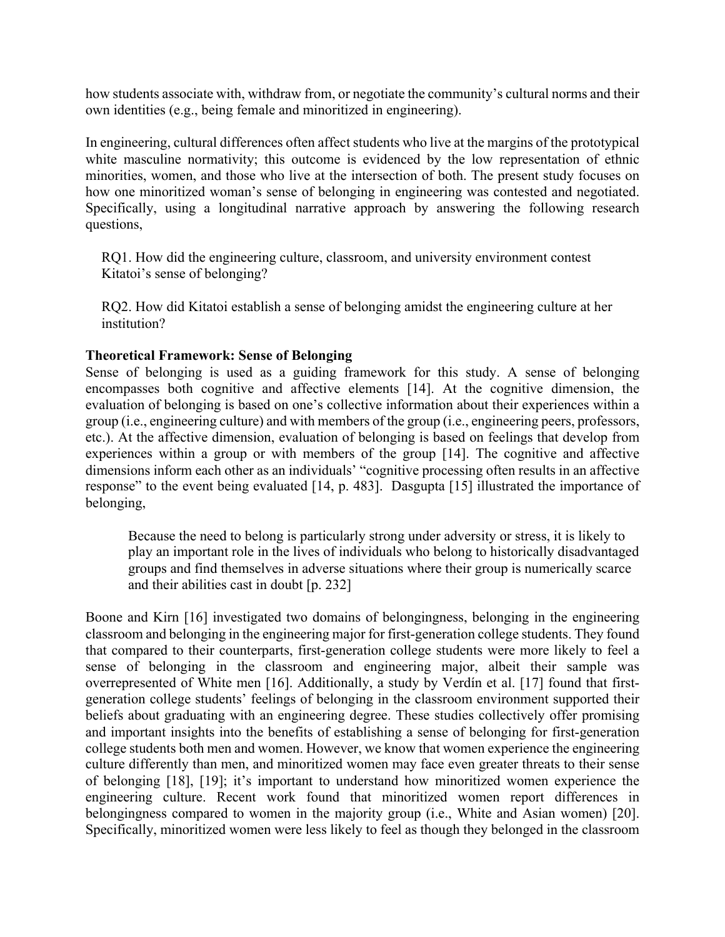how students associate with, withdraw from, or negotiate the community's cultural norms and their own identities (e.g., being female and minoritized in engineering).

In engineering, cultural differences often affect students who live at the margins of the prototypical white masculine normativity; this outcome is evidenced by the low representation of ethnic minorities, women, and those who live at the intersection of both. The present study focuses on how one minoritized woman's sense of belonging in engineering was contested and negotiated. Specifically, using a longitudinal narrative approach by answering the following research questions,

RQ1. How did the engineering culture, classroom, and university environment contest Kitatoi's sense of belonging?

RQ2. How did Kitatoi establish a sense of belonging amidst the engineering culture at her institution?

## **Theoretical Framework: Sense of Belonging**

Sense of belonging is used as a guiding framework for this study. A sense of belonging encompasses both cognitive and affective elements [14]. At the cognitive dimension, the evaluation of belonging is based on one's collective information about their experiences within a group (i.e., engineering culture) and with members of the group (i.e., engineering peers, professors, etc.). At the affective dimension, evaluation of belonging is based on feelings that develop from experiences within a group or with members of the group [14]. The cognitive and affective dimensions inform each other as an individuals' "cognitive processing often results in an affective response" to the event being evaluated [14, p. 483]. Dasgupta [15] illustrated the importance of belonging,

Because the need to belong is particularly strong under adversity or stress, it is likely to play an important role in the lives of individuals who belong to historically disadvantaged groups and find themselves in adverse situations where their group is numerically scarce and their abilities cast in doubt [p. 232]

Boone and Kirn [16] investigated two domains of belongingness, belonging in the engineering classroom and belonging in the engineering major for first-generation college students. They found that compared to their counterparts, first-generation college students were more likely to feel a sense of belonging in the classroom and engineering major, albeit their sample was overrepresented of White men [16]. Additionally, a study by Verdín et al. [17] found that firstgeneration college students' feelings of belonging in the classroom environment supported their beliefs about graduating with an engineering degree. These studies collectively offer promising and important insights into the benefits of establishing a sense of belonging for first-generation college students both men and women. However, we know that women experience the engineering culture differently than men, and minoritized women may face even greater threats to their sense of belonging [18], [19]; it's important to understand how minoritized women experience the engineering culture. Recent work found that minoritized women report differences in belongingness compared to women in the majority group (i.e., White and Asian women) [20]. Specifically, minoritized women were less likely to feel as though they belonged in the classroom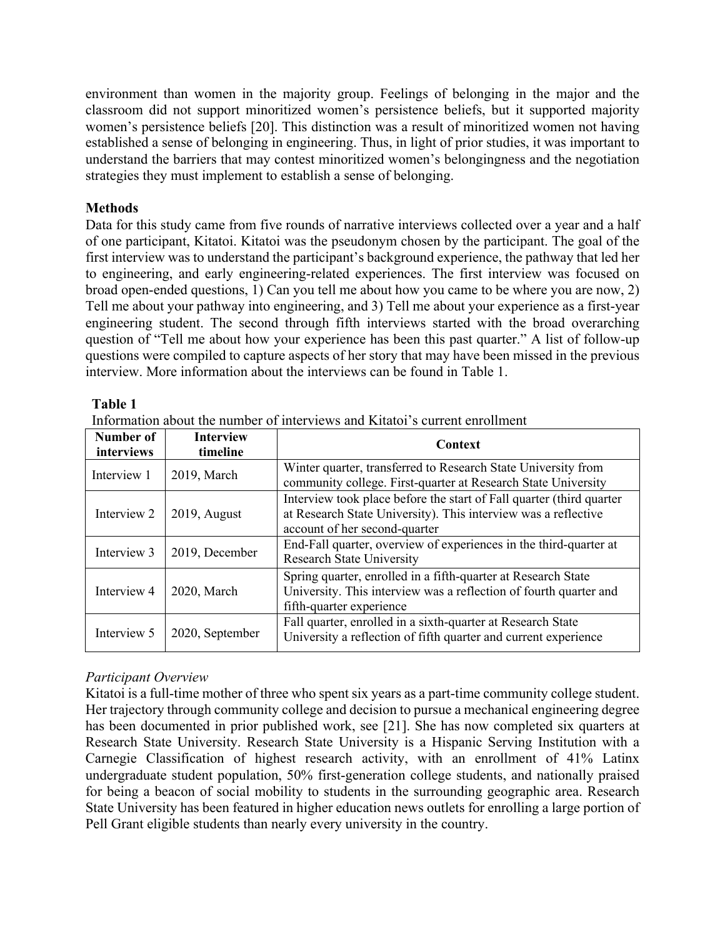environment than women in the majority group. Feelings of belonging in the major and the classroom did not support minoritized women's persistence beliefs, but it supported majority women's persistence beliefs [20]. This distinction was a result of minoritized women not having established a sense of belonging in engineering. Thus, in light of prior studies, it was important to understand the barriers that may contest minoritized women's belongingness and the negotiation strategies they must implement to establish a sense of belonging.

## **Methods**

Data for this study came from five rounds of narrative interviews collected over a year and a half of one participant, Kitatoi. Kitatoi was the pseudonym chosen by the participant. The goal of the first interview was to understand the participant's background experience, the pathway that led her to engineering, and early engineering-related experiences. The first interview was focused on broad open-ended questions, 1) Can you tell me about how you came to be where you are now, 2) Tell me about your pathway into engineering, and 3) Tell me about your experience as a first-year engineering student. The second through fifth interviews started with the broad overarching question of "Tell me about how your experience has been this past quarter." A list of follow-up questions were compiled to capture aspects of her story that may have been missed in the previous interview. More information about the interviews can be found in Table 1.

## **Table 1**

| Number of<br>interviews | <b>Interview</b><br>timeline | Context                                                                                                                                                                  |
|-------------------------|------------------------------|--------------------------------------------------------------------------------------------------------------------------------------------------------------------------|
| Interview 1             | 2019, March                  | Winter quarter, transferred to Research State University from<br>community college. First-quarter at Research State University                                           |
| Interview 2             | $2019$ , August              | Interview took place before the start of Fall quarter (third quarter)<br>at Research State University). This interview was a reflective<br>account of her second-quarter |
| Interview 3             | 2019, December               | End-Fall quarter, overview of experiences in the third-quarter at<br><b>Research State University</b>                                                                    |
| Interview 4             | 2020, March                  | Spring quarter, enrolled in a fifth-quarter at Research State<br>University. This interview was a reflection of fourth quarter and<br>fifth-quarter experience           |
| Interview 5             | 2020, September              | Fall quarter, enrolled in a sixth-quarter at Research State<br>University a reflection of fifth quarter and current experience                                           |

Information about the number of interviews and Kitatoi's current enrollment

## *Participant Overview*

Kitatoi is a full-time mother of three who spent six years as a part-time community college student. Her trajectory through community college and decision to pursue a mechanical engineering degree has been documented in prior published work, see [21]. She has now completed six quarters at Research State University. Research State University is a Hispanic Serving Institution with a Carnegie Classification of highest research activity, with an enrollment of 41% Latinx undergraduate student population, 50% first-generation college students, and nationally praised for being a beacon of social mobility to students in the surrounding geographic area. Research State University has been featured in higher education news outlets for enrolling a large portion of Pell Grant eligible students than nearly every university in the country.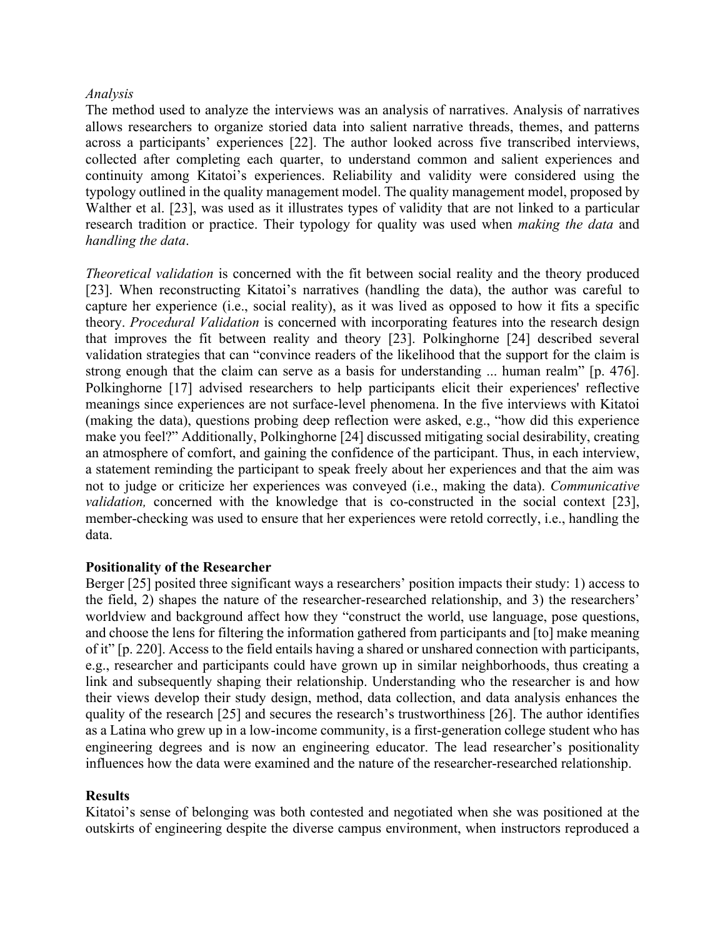#### *Analysis*

The method used to analyze the interviews was an analysis of narratives. Analysis of narratives allows researchers to organize storied data into salient narrative threads, themes, and patterns across a participants' experiences [22]. The author looked across five transcribed interviews, collected after completing each quarter, to understand common and salient experiences and continuity among Kitatoi's experiences. Reliability and validity were considered using the typology outlined in the quality management model. The quality management model, proposed by Walther et al. [23], was used as it illustrates types of validity that are not linked to a particular research tradition or practice. Their typology for quality was used when *making the data* and *handling the data*.

*Theoretical validation* is concerned with the fit between social reality and the theory produced [23]. When reconstructing Kitatoi's narratives (handling the data), the author was careful to capture her experience (i.e., social reality), as it was lived as opposed to how it fits a specific theory. *Procedural Validation* is concerned with incorporating features into the research design that improves the fit between reality and theory [23]. Polkinghorne [24] described several validation strategies that can "convince readers of the likelihood that the support for the claim is strong enough that the claim can serve as a basis for understanding ... human realm" [p. 476]. Polkinghorne [17] advised researchers to help participants elicit their experiences' reflective meanings since experiences are not surface-level phenomena. In the five interviews with Kitatoi (making the data), questions probing deep reflection were asked, e.g., "how did this experience make you feel?" Additionally, Polkinghorne [24] discussed mitigating social desirability, creating an atmosphere of comfort, and gaining the confidence of the participant. Thus, in each interview, a statement reminding the participant to speak freely about her experiences and that the aim was not to judge or criticize her experiences was conveyed (i.e., making the data). *Communicative validation*, concerned with the knowledge that is co-constructed in the social context [23], member-checking was used to ensure that her experiences were retold correctly, i.e., handling the data.

## **Positionality of the Researcher**

Berger [25] posited three significant ways a researchers' position impacts their study: 1) access to the field, 2) shapes the nature of the researcher-researched relationship, and 3) the researchers' worldview and background affect how they "construct the world, use language, pose questions, and choose the lens for filtering the information gathered from participants and [to] make meaning of it" [p. 220]. Access to the field entails having a shared or unshared connection with participants, e.g., researcher and participants could have grown up in similar neighborhoods, thus creating a link and subsequently shaping their relationship. Understanding who the researcher is and how their views develop their study design, method, data collection, and data analysis enhances the quality of the research [25] and secures the research's trustworthiness [26]. The author identifies as a Latina who grew up in a low-income community, is a first-generation college student who has engineering degrees and is now an engineering educator. The lead researcher's positionality influences how the data were examined and the nature of the researcher-researched relationship.

## **Results**

Kitatoi's sense of belonging was both contested and negotiated when she was positioned at the outskirts of engineering despite the diverse campus environment, when instructors reproduced a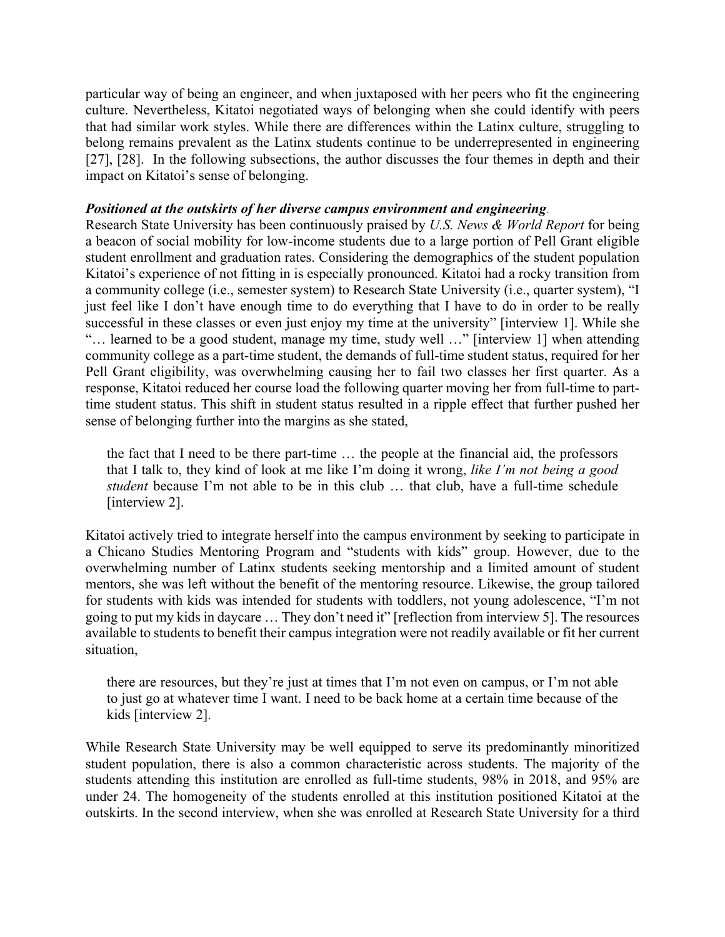particular way of being an engineer, and when juxtaposed with her peers who fit the engineering culture. Nevertheless, Kitatoi negotiated ways of belonging when she could identify with peers that had similar work styles. While there are differences within the Latinx culture, struggling to belong remains prevalent as the Latinx students continue to be underrepresented in engineering [27], [28]. In the following subsections, the author discusses the four themes in depth and their impact on Kitatoi's sense of belonging.

## *Positioned at the outskirts of her diverse campus environment and engineering.*

Research State University has been continuously praised by *U.S. News & World Report* for being a beacon of social mobility for low-income students due to a large portion of Pell Grant eligible student enrollment and graduation rates. Considering the demographics of the student population Kitatoi's experience of not fitting in is especially pronounced. Kitatoi had a rocky transition from a community college (i.e., semester system) to Research State University (i.e., quarter system), "I just feel like I don't have enough time to do everything that I have to do in order to be really successful in these classes or even just enjoy my time at the university" [interview 1]. While she "… learned to be a good student, manage my time, study well …" [interview 1] when attending community college as a part-time student, the demands of full-time student status, required for her Pell Grant eligibility, was overwhelming causing her to fail two classes her first quarter. As a response, Kitatoi reduced her course load the following quarter moving her from full-time to parttime student status. This shift in student status resulted in a ripple effect that further pushed her sense of belonging further into the margins as she stated,

the fact that I need to be there part-time … the people at the financial aid, the professors that I talk to, they kind of look at me like I'm doing it wrong, *like I'm not being a good student* because I'm not able to be in this club … that club, have a full-time schedule [interview 2].

Kitatoi actively tried to integrate herself into the campus environment by seeking to participate in a Chicano Studies Mentoring Program and "students with kids" group. However, due to the overwhelming number of Latinx students seeking mentorship and a limited amount of student mentors, she was left without the benefit of the mentoring resource. Likewise, the group tailored for students with kids was intended for students with toddlers, not young adolescence, "I'm not going to put my kids in daycare … They don't need it" [reflection from interview 5]. The resources available to students to benefit their campus integration were not readily available or fit her current situation,

there are resources, but they're just at times that I'm not even on campus, or I'm not able to just go at whatever time I want. I need to be back home at a certain time because of the kids [interview 2].

While Research State University may be well equipped to serve its predominantly minoritized student population, there is also a common characteristic across students. The majority of the students attending this institution are enrolled as full-time students, 98% in 2018, and 95% are under 24. The homogeneity of the students enrolled at this institution positioned Kitatoi at the outskirts. In the second interview, when she was enrolled at Research State University for a third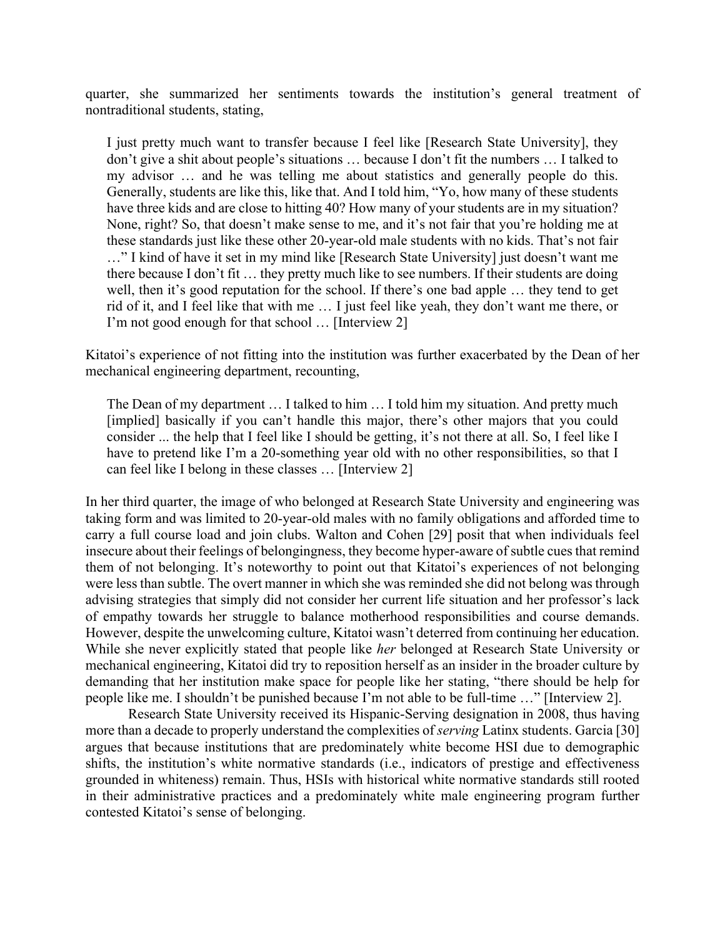quarter, she summarized her sentiments towards the institution's general treatment of nontraditional students, stating,

I just pretty much want to transfer because I feel like [Research State University], they don't give a shit about people's situations … because I don't fit the numbers … I talked to my advisor … and he was telling me about statistics and generally people do this. Generally, students are like this, like that. And I told him, "Yo, how many of these students have three kids and are close to hitting 40? How many of your students are in my situation? None, right? So, that doesn't make sense to me, and it's not fair that you're holding me at these standards just like these other 20-year-old male students with no kids. That's not fair …" I kind of have it set in my mind like [Research State University] just doesn't want me there because I don't fit … they pretty much like to see numbers. If their students are doing well, then it's good reputation for the school. If there's one bad apple … they tend to get rid of it, and I feel like that with me … I just feel like yeah, they don't want me there, or I'm not good enough for that school … [Interview 2]

Kitatoi's experience of not fitting into the institution was further exacerbated by the Dean of her mechanical engineering department, recounting,

The Dean of my department … I talked to him … I told him my situation. And pretty much [implied] basically if you can't handle this major, there's other majors that you could consider ... the help that I feel like I should be getting, it's not there at all. So, I feel like I have to pretend like I'm a 20-something year old with no other responsibilities, so that I can feel like I belong in these classes … [Interview 2]

In her third quarter, the image of who belonged at Research State University and engineering was taking form and was limited to 20-year-old males with no family obligations and afforded time to carry a full course load and join clubs. Walton and Cohen [29] posit that when individuals feel insecure about their feelings of belongingness, they become hyper-aware of subtle cues that remind them of not belonging. It's noteworthy to point out that Kitatoi's experiences of not belonging were less than subtle. The overt manner in which she was reminded she did not belong was through advising strategies that simply did not consider her current life situation and her professor's lack of empathy towards her struggle to balance motherhood responsibilities and course demands. However, despite the unwelcoming culture, Kitatoi wasn't deterred from continuing her education. While she never explicitly stated that people like *her* belonged at Research State University or mechanical engineering, Kitatoi did try to reposition herself as an insider in the broader culture by demanding that her institution make space for people like her stating, "there should be help for people like me. I shouldn't be punished because I'm not able to be full-time …" [Interview 2].

Research State University received its Hispanic-Serving designation in 2008, thus having more than a decade to properly understand the complexities of *serving* Latinx students. Garcia [30] argues that because institutions that are predominately white become HSI due to demographic shifts, the institution's white normative standards (i.e., indicators of prestige and effectiveness grounded in whiteness) remain. Thus, HSIs with historical white normative standards still rooted in their administrative practices and a predominately white male engineering program further contested Kitatoi's sense of belonging.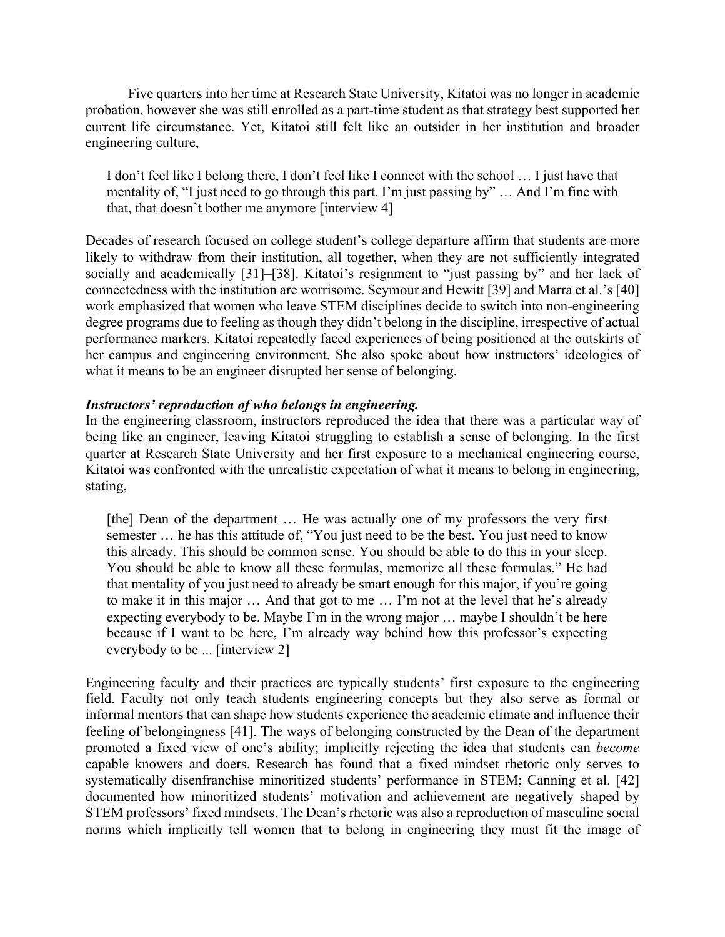Five quarters into her time at Research State University, Kitatoi was no longer in academic probation, however she was still enrolled as a part-time student as that strategy best supported her current life circumstance. Yet, Kitatoi still felt like an outsider in her institution and broader engineering culture,

I don't feel like I belong there, I don't feel like I connect with the school … I just have that mentality of, "I just need to go through this part. I'm just passing by" … And I'm fine with that, that doesn't bother me anymore [interview 4]

Decades of research focused on college student's college departure affirm that students are more likely to withdraw from their institution, all together, when they are not sufficiently integrated socially and academically [31]–[38]. Kitatoi's resignment to "just passing by" and her lack of connectedness with the institution are worrisome. Seymour and Hewitt [39] and Marra et al.'s [40] work emphasized that women who leave STEM disciplines decide to switch into non-engineering degree programs due to feeling as though they didn't belong in the discipline, irrespective of actual performance markers. Kitatoi repeatedly faced experiences of being positioned at the outskirts of her campus and engineering environment. She also spoke about how instructors' ideologies of what it means to be an engineer disrupted her sense of belonging.

## *Instructors' reproduction of who belongs in engineering.*

In the engineering classroom, instructors reproduced the idea that there was a particular way of being like an engineer, leaving Kitatoi struggling to establish a sense of belonging. In the first quarter at Research State University and her first exposure to a mechanical engineering course, Kitatoi was confronted with the unrealistic expectation of what it means to belong in engineering, stating,

[the] Dean of the department ... He was actually one of my professors the very first semester ... he has this attitude of, "You just need to be the best. You just need to know this already. This should be common sense. You should be able to do this in your sleep. You should be able to know all these formulas, memorize all these formulas." He had that mentality of you just need to already be smart enough for this major, if you're going to make it in this major … And that got to me … I'm not at the level that he's already expecting everybody to be. Maybe I'm in the wrong major … maybe I shouldn't be here because if I want to be here, I'm already way behind how this professor's expecting everybody to be ... [interview 2]

Engineering faculty and their practices are typically students' first exposure to the engineering field. Faculty not only teach students engineering concepts but they also serve as formal or informal mentors that can shape how students experience the academic climate and influence their feeling of belongingness [41]. The ways of belonging constructed by the Dean of the department promoted a fixed view of one's ability; implicitly rejecting the idea that students can *become*  capable knowers and doers. Research has found that a fixed mindset rhetoric only serves to systematically disenfranchise minoritized students' performance in STEM; Canning et al. [42] documented how minoritized students' motivation and achievement are negatively shaped by STEM professors' fixed mindsets. The Dean's rhetoric was also a reproduction of masculine social norms which implicitly tell women that to belong in engineering they must fit the image of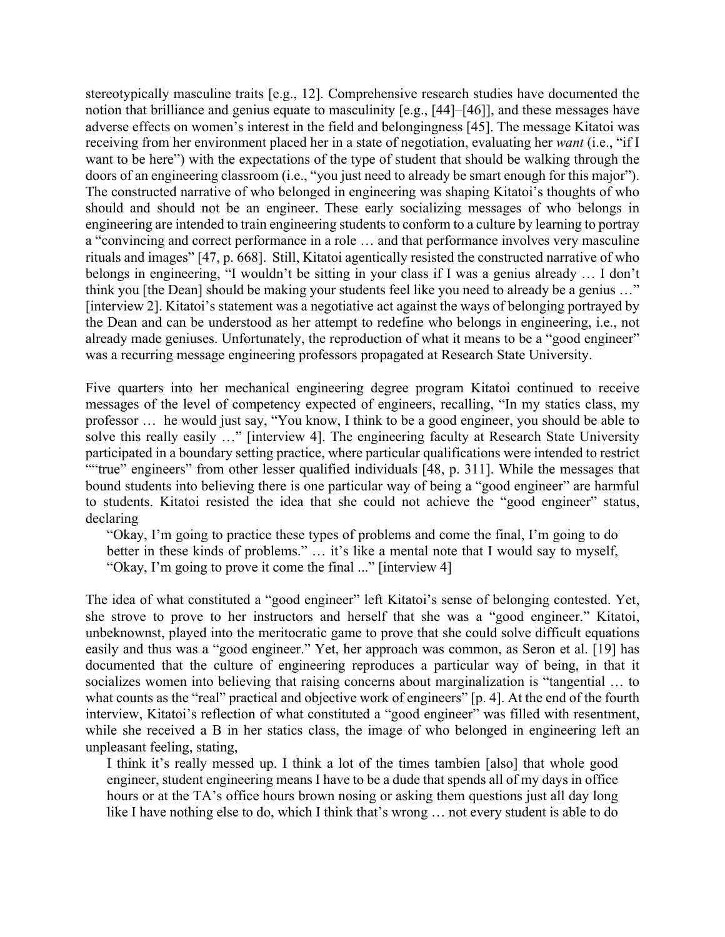stereotypically masculine traits [e.g., 12]. Comprehensive research studies have documented the notion that brilliance and genius equate to masculinity [e.g., [44]–[46]], and these messages have adverse effects on women's interest in the field and belongingness [45]. The message Kitatoi was receiving from her environment placed her in a state of negotiation, evaluating her *want* (i.e., "if I want to be here") with the expectations of the type of student that should be walking through the doors of an engineering classroom (i.e., "you just need to already be smart enough for this major"). The constructed narrative of who belonged in engineering was shaping Kitatoi's thoughts of who should and should not be an engineer. These early socializing messages of who belongs in engineering are intended to train engineering students to conform to a culture by learning to portray a "convincing and correct performance in a role … and that performance involves very masculine rituals and images" [47, p. 668]. Still, Kitatoi agentically resisted the constructed narrative of who belongs in engineering, "I wouldn't be sitting in your class if I was a genius already … I don't think you [the Dean] should be making your students feel like you need to already be a genius …" [interview 2]. Kitatoi's statement was a negotiative act against the ways of belonging portrayed by the Dean and can be understood as her attempt to redefine who belongs in engineering, i.e., not already made geniuses. Unfortunately, the reproduction of what it means to be a "good engineer" was a recurring message engineering professors propagated at Research State University.

Five quarters into her mechanical engineering degree program Kitatoi continued to receive messages of the level of competency expected of engineers, recalling, "In my statics class, my professor … he would just say, "You know, I think to be a good engineer, you should be able to solve this really easily …" [interview 4]. The engineering faculty at Research State University participated in a boundary setting practice, where particular qualifications were intended to restrict ""true" engineers" from other lesser qualified individuals [48, p. 311]. While the messages that bound students into believing there is one particular way of being a "good engineer" are harmful to students. Kitatoi resisted the idea that she could not achieve the "good engineer" status, declaring

"Okay, I'm going to practice these types of problems and come the final, I'm going to do better in these kinds of problems." … it's like a mental note that I would say to myself, "Okay, I'm going to prove it come the final ..." [interview 4]

The idea of what constituted a "good engineer" left Kitatoi's sense of belonging contested. Yet, she strove to prove to her instructors and herself that she was a "good engineer." Kitatoi, unbeknownst, played into the meritocratic game to prove that she could solve difficult equations easily and thus was a "good engineer." Yet, her approach was common, as Seron et al. [19] has documented that the culture of engineering reproduces a particular way of being, in that it socializes women into believing that raising concerns about marginalization is "tangential … to what counts as the "real" practical and objective work of engineers" [p. 4]. At the end of the fourth interview, Kitatoi's reflection of what constituted a "good engineer" was filled with resentment, while she received a B in her statics class, the image of who belonged in engineering left an unpleasant feeling, stating,

I think it's really messed up. I think a lot of the times tambien [also] that whole good engineer, student engineering means I have to be a dude that spends all of my days in office hours or at the TA's office hours brown nosing or asking them questions just all day long like I have nothing else to do, which I think that's wrong … not every student is able to do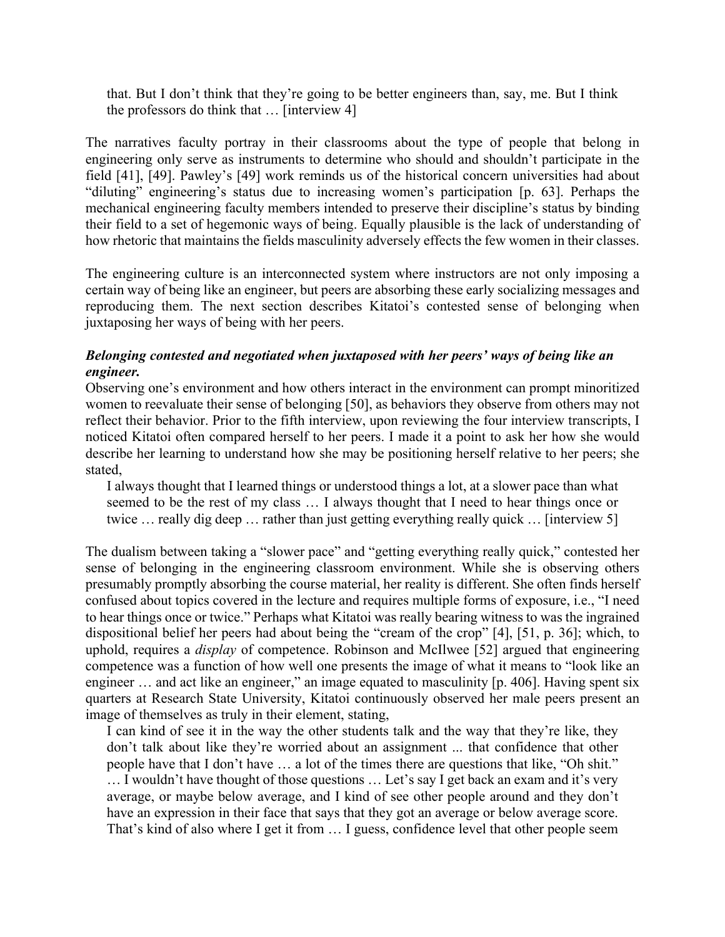that. But I don't think that they're going to be better engineers than, say, me. But I think the professors do think that … [interview 4]

The narratives faculty portray in their classrooms about the type of people that belong in engineering only serve as instruments to determine who should and shouldn't participate in the field [41], [49]. Pawley's [49] work reminds us of the historical concern universities had about "diluting" engineering's status due to increasing women's participation [p. 63]. Perhaps the mechanical engineering faculty members intended to preserve their discipline's status by binding their field to a set of hegemonic ways of being. Equally plausible is the lack of understanding of how rhetoric that maintains the fields masculinity adversely effects the few women in their classes.

The engineering culture is an interconnected system where instructors are not only imposing a certain way of being like an engineer, but peers are absorbing these early socializing messages and reproducing them. The next section describes Kitatoi's contested sense of belonging when juxtaposing her ways of being with her peers.

## *Belonging contested and negotiated when juxtaposed with her peers' ways of being like an engineer.*

Observing one's environment and how others interact in the environment can prompt minoritized women to reevaluate their sense of belonging [50], as behaviors they observe from others may not reflect their behavior. Prior to the fifth interview, upon reviewing the four interview transcripts, I noticed Kitatoi often compared herself to her peers. I made it a point to ask her how she would describe her learning to understand how she may be positioning herself relative to her peers; she stated,

I always thought that I learned things or understood things a lot, at a slower pace than what seemed to be the rest of my class … I always thought that I need to hear things once or twice ... really dig deep ... rather than just getting everything really quick ... [interview 5]

The dualism between taking a "slower pace" and "getting everything really quick," contested her sense of belonging in the engineering classroom environment. While she is observing others presumably promptly absorbing the course material, her reality is different. She often finds herself confused about topics covered in the lecture and requires multiple forms of exposure, i.e., "I need to hear things once or twice." Perhaps what Kitatoi was really bearing witness to was the ingrained dispositional belief her peers had about being the "cream of the crop" [4], [51, p. 36]; which, to uphold, requires a *display* of competence. Robinson and McIlwee [52] argued that engineering competence was a function of how well one presents the image of what it means to "look like an engineer ... and act like an engineer," an image equated to masculinity [p. 406]. Having spent six quarters at Research State University, Kitatoi continuously observed her male peers present an image of themselves as truly in their element, stating,

I can kind of see it in the way the other students talk and the way that they're like, they don't talk about like they're worried about an assignment ... that confidence that other people have that I don't have … a lot of the times there are questions that like, "Oh shit." … I wouldn't have thought of those questions … Let's say I get back an exam and it's very average, or maybe below average, and I kind of see other people around and they don't have an expression in their face that says that they got an average or below average score. That's kind of also where I get it from … I guess, confidence level that other people seem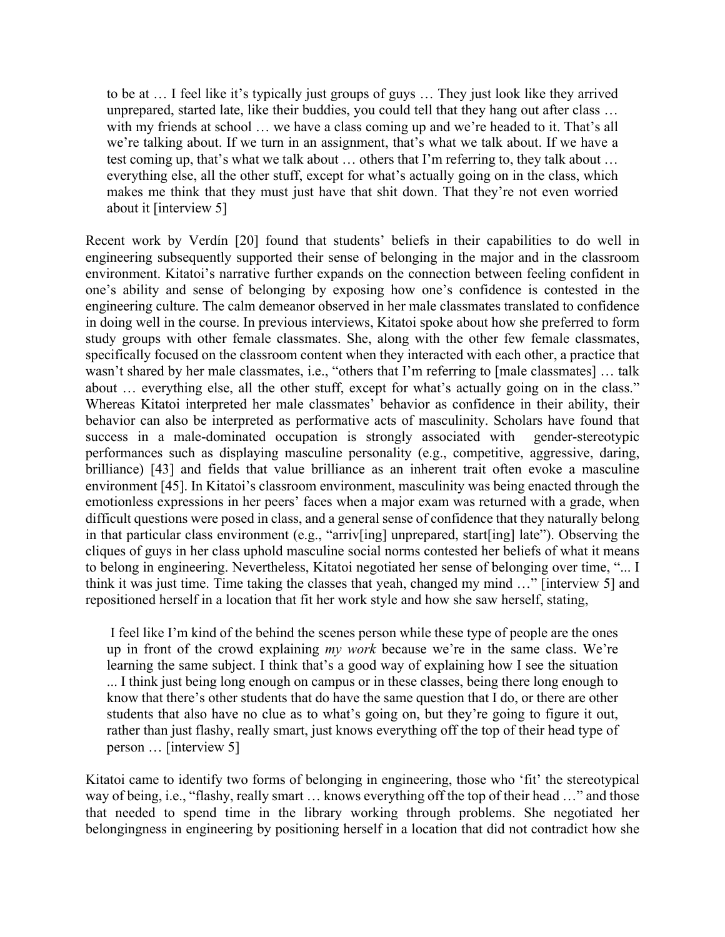to be at … I feel like it's typically just groups of guys … They just look like they arrived unprepared, started late, like their buddies, you could tell that they hang out after class … with my friends at school ... we have a class coming up and we're headed to it. That's all we're talking about. If we turn in an assignment, that's what we talk about. If we have a test coming up, that's what we talk about … others that I'm referring to, they talk about … everything else, all the other stuff, except for what's actually going on in the class, which makes me think that they must just have that shit down. That they're not even worried about it [interview 5]

Recent work by Verdín [20] found that students' beliefs in their capabilities to do well in engineering subsequently supported their sense of belonging in the major and in the classroom environment. Kitatoi's narrative further expands on the connection between feeling confident in one's ability and sense of belonging by exposing how one's confidence is contested in the engineering culture. The calm demeanor observed in her male classmates translated to confidence in doing well in the course. In previous interviews, Kitatoi spoke about how she preferred to form study groups with other female classmates. She, along with the other few female classmates, specifically focused on the classroom content when they interacted with each other, a practice that wasn't shared by her male classmates, i.e., "others that I'm referring to [male classmates] … talk about … everything else, all the other stuff, except for what's actually going on in the class." Whereas Kitatoi interpreted her male classmates' behavior as confidence in their ability, their behavior can also be interpreted as performative acts of masculinity. Scholars have found that success in a male-dominated occupation is strongly associated with gender-stereotypic performances such as displaying masculine personality (e.g., competitive, aggressive, daring, brilliance) [43] and fields that value brilliance as an inherent trait often evoke a masculine environment [45]. In Kitatoi's classroom environment, masculinity was being enacted through the emotionless expressions in her peers' faces when a major exam was returned with a grade, when difficult questions were posed in class, and a general sense of confidence that they naturally belong in that particular class environment (e.g., "arriv[ing] unprepared, start[ing] late"). Observing the cliques of guys in her class uphold masculine social norms contested her beliefs of what it means to belong in engineering. Nevertheless, Kitatoi negotiated her sense of belonging over time, "... I think it was just time. Time taking the classes that yeah, changed my mind …" [interview 5] and repositioned herself in a location that fit her work style and how she saw herself, stating,

I feel like I'm kind of the behind the scenes person while these type of people are the ones up in front of the crowd explaining *my work* because we're in the same class. We're learning the same subject. I think that's a good way of explaining how I see the situation ... I think just being long enough on campus or in these classes, being there long enough to know that there's other students that do have the same question that I do, or there are other students that also have no clue as to what's going on, but they're going to figure it out, rather than just flashy, really smart, just knows everything off the top of their head type of person … [interview 5]

Kitatoi came to identify two forms of belonging in engineering, those who 'fit' the stereotypical way of being, i.e., "flashy, really smart … knows everything off the top of their head …" and those that needed to spend time in the library working through problems. She negotiated her belongingness in engineering by positioning herself in a location that did not contradict how she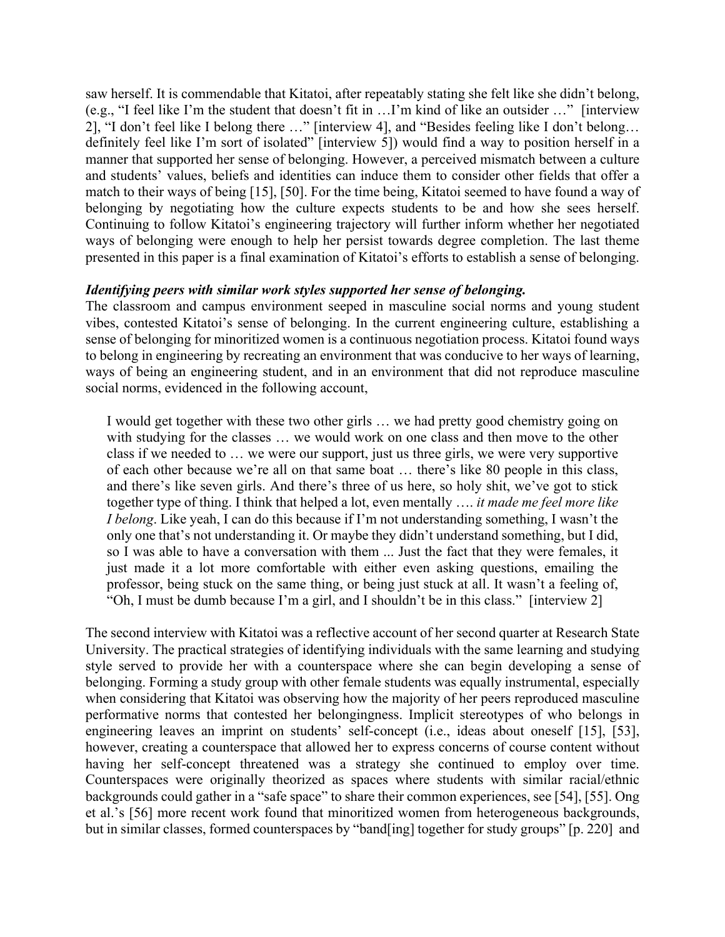saw herself. It is commendable that Kitatoi, after repeatably stating she felt like she didn't belong, (e.g., "I feel like I'm the student that doesn't fit in …I'm kind of like an outsider …" [interview 2], "I don't feel like I belong there …" [interview 4], and "Besides feeling like I don't belong… definitely feel like I'm sort of isolated" [interview 5]) would find a way to position herself in a manner that supported her sense of belonging. However, a perceived mismatch between a culture and students' values, beliefs and identities can induce them to consider other fields that offer a match to their ways of being [15], [50]. For the time being, Kitatoi seemed to have found a way of belonging by negotiating how the culture expects students to be and how she sees herself. Continuing to follow Kitatoi's engineering trajectory will further inform whether her negotiated ways of belonging were enough to help her persist towards degree completion. The last theme presented in this paper is a final examination of Kitatoi's efforts to establish a sense of belonging.

#### *Identifying peers with similar work styles supported her sense of belonging.*

The classroom and campus environment seeped in masculine social norms and young student vibes, contested Kitatoi's sense of belonging. In the current engineering culture, establishing a sense of belonging for minoritized women is a continuous negotiation process. Kitatoi found ways to belong in engineering by recreating an environment that was conducive to her ways of learning, ways of being an engineering student, and in an environment that did not reproduce masculine social norms, evidenced in the following account,

I would get together with these two other girls … we had pretty good chemistry going on with studying for the classes … we would work on one class and then move to the other class if we needed to … we were our support, just us three girls, we were very supportive of each other because we're all on that same boat … there's like 80 people in this class, and there's like seven girls. And there's three of us here, so holy shit, we've got to stick together type of thing. I think that helped a lot, even mentally …. *it made me feel more like I belong*. Like yeah, I can do this because if I'm not understanding something, I wasn't the only one that's not understanding it. Or maybe they didn't understand something, but I did, so I was able to have a conversation with them ... Just the fact that they were females, it just made it a lot more comfortable with either even asking questions, emailing the professor, being stuck on the same thing, or being just stuck at all. It wasn't a feeling of, "Oh, I must be dumb because I'm a girl, and I shouldn't be in this class." [interview 2]

The second interview with Kitatoi was a reflective account of her second quarter at Research State University. The practical strategies of identifying individuals with the same learning and studying style served to provide her with a counterspace where she can begin developing a sense of belonging. Forming a study group with other female students was equally instrumental, especially when considering that Kitatoi was observing how the majority of her peers reproduced masculine performative norms that contested her belongingness. Implicit stereotypes of who belongs in engineering leaves an imprint on students' self-concept (i.e., ideas about oneself [15], [53], however, creating a counterspace that allowed her to express concerns of course content without having her self-concept threatened was a strategy she continued to employ over time. Counterspaces were originally theorized as spaces where students with similar racial/ethnic backgrounds could gather in a "safe space" to share their common experiences, see [54], [55]. Ong et al.'s [56] more recent work found that minoritized women from heterogeneous backgrounds, but in similar classes, formed counterspaces by "band[ing] together for study groups" [p. 220] and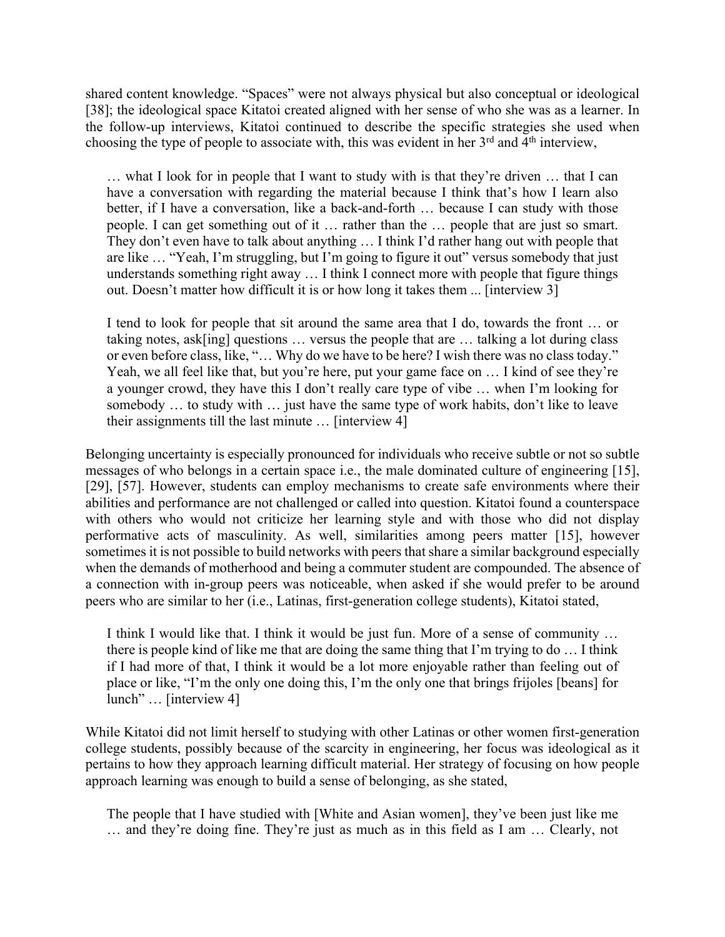shared content knowledge. "Spaces" were not always physical but also conceptual or ideological [38]; the ideological space Kitatoi created aligned with her sense of who she was as a learner. In the follow-up interviews, Kitatoi continued to describe the specific strategies she used when choosing the type of people to associate with, this was evident in her  $3<sup>rd</sup>$  and  $4<sup>th</sup>$  interview,

… what I look for in people that I want to study with is that they're driven … that I can have a conversation with regarding the material because I think that's how I learn also better, if I have a conversation, like a back-and-forth … because I can study with those people. I can get something out of it … rather than the … people that are just so smart. They don't even have to talk about anything … I think I'd rather hang out with people that are like … "Yeah, I'm struggling, but I'm going to figure it out" versus somebody that just understands something right away … I think I connect more with people that figure things out. Doesn't matter how difficult it is or how long it takes them ... [interview 3]

I tend to look for people that sit around the same area that I do, towards the front … or taking notes, ask[ing] questions … versus the people that are … talking a lot during class or even before class, like, "… Why do we have to be here? I wish there was no class today." Yeah, we all feel like that, but you're here, put your game face on ... I kind of see they're a younger crowd, they have this I don't really care type of vibe … when I'm looking for somebody … to study with … just have the same type of work habits, don't like to leave their assignments till the last minute … [interview 4]

Belonging uncertainty is especially pronounced for individuals who receive subtle or not so subtle messages of who belongs in a certain space i.e., the male dominated culture of engineering [15], [29], [57]. However, students can employ mechanisms to create safe environments where their abilities and performance are not challenged or called into question. Kitatoi found a counterspace with others who would not criticize her learning style and with those who did not display performative acts of masculinity. As well, similarities among peers matter [15], however sometimes it is not possible to build networks with peers that share a similar background especially when the demands of motherhood and being a commuter student are compounded. The absence of a connection with in-group peers was noticeable, when asked if she would prefer to be around peers who are similar to her (i.e., Latinas, first-generation college students), Kitatoi stated,

I think I would like that. I think it would be just fun. More of a sense of community … there is people kind of like me that are doing the same thing that I'm trying to do … I think if I had more of that, I think it would be a lot more enjoyable rather than feeling out of place or like, "I'm the only one doing this, I'm the only one that brings frijoles [beans] for lunch" … [interview 4]

While Kitatoi did not limit herself to studying with other Latinas or other women first-generation college students, possibly because of the scarcity in engineering, her focus was ideological as it pertains to how they approach learning difficult material. Her strategy of focusing on how people approach learning was enough to build a sense of belonging, as she stated,

The people that I have studied with [White and Asian women], they've been just like me … and they're doing fine. They're just as much as in this field as I am … Clearly, not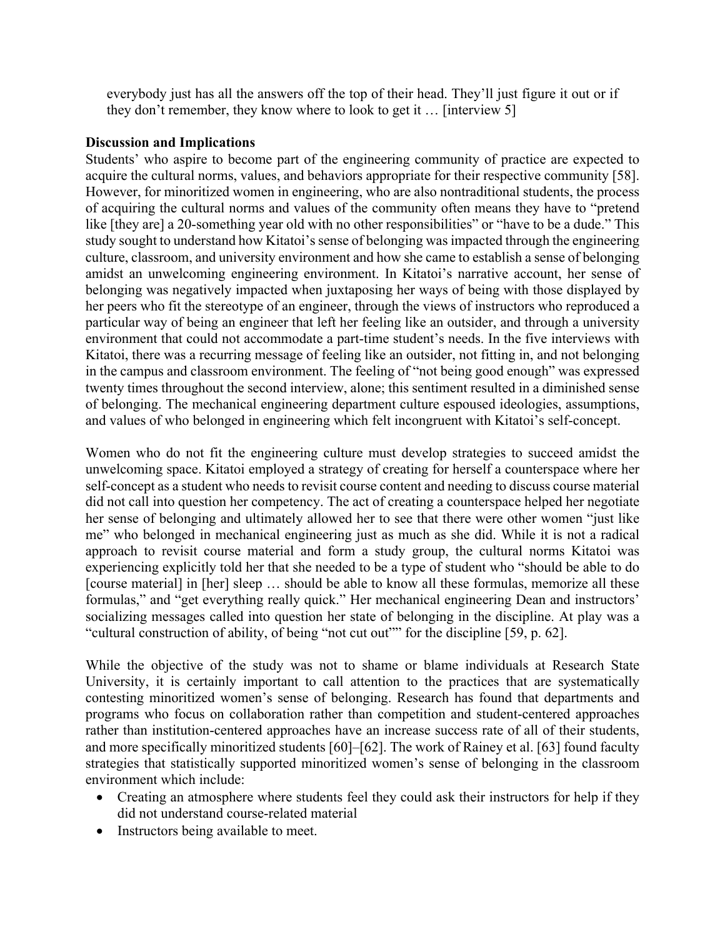everybody just has all the answers off the top of their head. They'll just figure it out or if they don't remember, they know where to look to get it … [interview 5]

## **Discussion and Implications**

Students' who aspire to become part of the engineering community of practice are expected to acquire the cultural norms, values, and behaviors appropriate for their respective community [58]. However, for minoritized women in engineering, who are also nontraditional students, the process of acquiring the cultural norms and values of the community often means they have to "pretend like [they are] a 20-something year old with no other responsibilities" or "have to be a dude." This study sought to understand how Kitatoi's sense of belonging was impacted through the engineering culture, classroom, and university environment and how she came to establish a sense of belonging amidst an unwelcoming engineering environment. In Kitatoi's narrative account, her sense of belonging was negatively impacted when juxtaposing her ways of being with those displayed by her peers who fit the stereotype of an engineer, through the views of instructors who reproduced a particular way of being an engineer that left her feeling like an outsider, and through a university environment that could not accommodate a part-time student's needs. In the five interviews with Kitatoi, there was a recurring message of feeling like an outsider, not fitting in, and not belonging in the campus and classroom environment. The feeling of "not being good enough" was expressed twenty times throughout the second interview, alone; this sentiment resulted in a diminished sense of belonging. The mechanical engineering department culture espoused ideologies, assumptions, and values of who belonged in engineering which felt incongruent with Kitatoi's self-concept.

Women who do not fit the engineering culture must develop strategies to succeed amidst the unwelcoming space. Kitatoi employed a strategy of creating for herself a counterspace where her self-concept as a student who needs to revisit course content and needing to discuss course material did not call into question her competency. The act of creating a counterspace helped her negotiate her sense of belonging and ultimately allowed her to see that there were other women "just like me" who belonged in mechanical engineering just as much as she did. While it is not a radical approach to revisit course material and form a study group, the cultural norms Kitatoi was experiencing explicitly told her that she needed to be a type of student who "should be able to do [course material] in [her] sleep … should be able to know all these formulas, memorize all these formulas," and "get everything really quick." Her mechanical engineering Dean and instructors' socializing messages called into question her state of belonging in the discipline. At play was a "cultural construction of ability, of being "not cut out"" for the discipline [59, p. 62].

While the objective of the study was not to shame or blame individuals at Research State University, it is certainly important to call attention to the practices that are systematically contesting minoritized women's sense of belonging. Research has found that departments and programs who focus on collaboration rather than competition and student-centered approaches rather than institution-centered approaches have an increase success rate of all of their students, and more specifically minoritized students [60]–[62]. The work of Rainey et al. [63] found faculty strategies that statistically supported minoritized women's sense of belonging in the classroom environment which include:

- Creating an atmosphere where students feel they could ask their instructors for help if they did not understand course-related material
- Instructors being available to meet.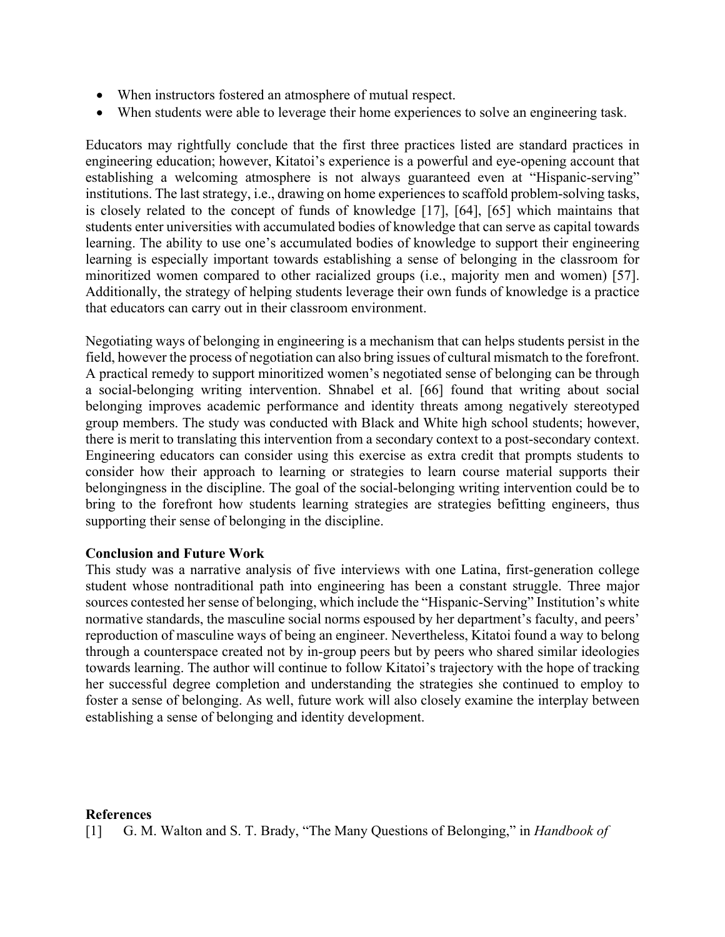- When instructors fostered an atmosphere of mutual respect.
- When students were able to leverage their home experiences to solve an engineering task.

Educators may rightfully conclude that the first three practices listed are standard practices in engineering education; however, Kitatoi's experience is a powerful and eye-opening account that establishing a welcoming atmosphere is not always guaranteed even at "Hispanic-serving" institutions. The last strategy, i.e., drawing on home experiences to scaffold problem-solving tasks, is closely related to the concept of funds of knowledge [17], [64], [65] which maintains that students enter universities with accumulated bodies of knowledge that can serve as capital towards learning. The ability to use one's accumulated bodies of knowledge to support their engineering learning is especially important towards establishing a sense of belonging in the classroom for minoritized women compared to other racialized groups (i.e., majority men and women) [57]. Additionally, the strategy of helping students leverage their own funds of knowledge is a practice that educators can carry out in their classroom environment.

Negotiating ways of belonging in engineering is a mechanism that can helps students persist in the field, however the process of negotiation can also bring issues of cultural mismatch to the forefront. A practical remedy to support minoritized women's negotiated sense of belonging can be through a social-belonging writing intervention. Shnabel et al. [66] found that writing about social belonging improves academic performance and identity threats among negatively stereotyped group members. The study was conducted with Black and White high school students; however, there is merit to translating this intervention from a secondary context to a post-secondary context. Engineering educators can consider using this exercise as extra credit that prompts students to consider how their approach to learning or strategies to learn course material supports their belongingness in the discipline. The goal of the social-belonging writing intervention could be to bring to the forefront how students learning strategies are strategies befitting engineers, thus supporting their sense of belonging in the discipline.

## **Conclusion and Future Work**

This study was a narrative analysis of five interviews with one Latina, first-generation college student whose nontraditional path into engineering has been a constant struggle. Three major sources contested her sense of belonging, which include the "Hispanic-Serving" Institution's white normative standards, the masculine social norms espoused by her department's faculty, and peers' reproduction of masculine ways of being an engineer. Nevertheless, Kitatoi found a way to belong through a counterspace created not by in-group peers but by peers who shared similar ideologies towards learning. The author will continue to follow Kitatoi's trajectory with the hope of tracking her successful degree completion and understanding the strategies she continued to employ to foster a sense of belonging. As well, future work will also closely examine the interplay between establishing a sense of belonging and identity development.

## **References**

[1] G. M. Walton and S. T. Brady, "The Many Questions of Belonging," in *Handbook of*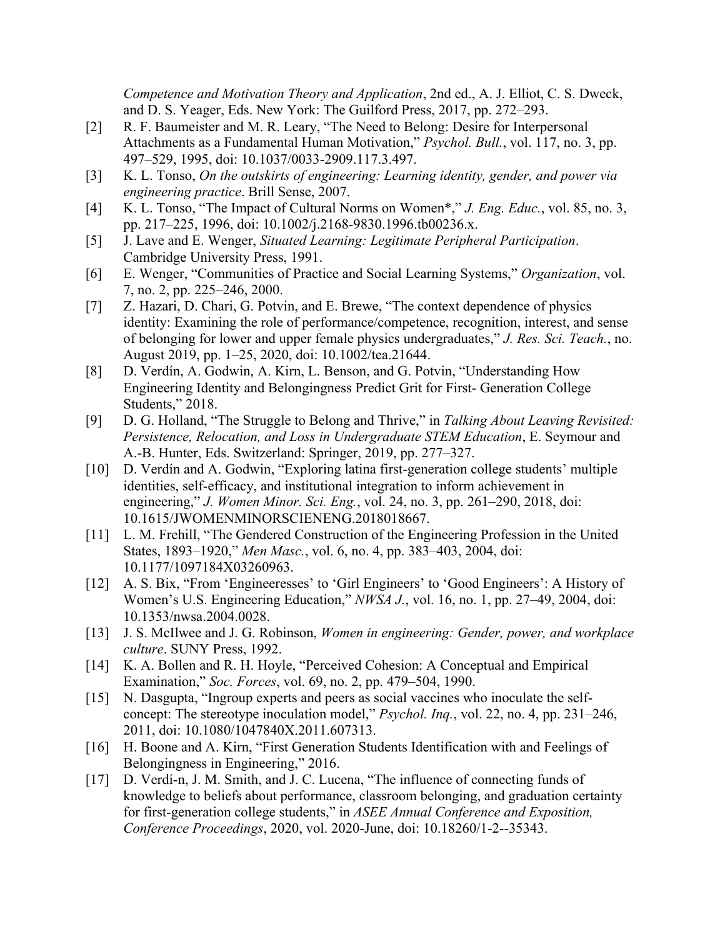*Competence and Motivation Theory and Application*, 2nd ed., A. J. Elliot, C. S. Dweck, and D. S. Yeager, Eds. New York: The Guilford Press, 2017, pp. 272–293.

- [2] R. F. Baumeister and M. R. Leary, "The Need to Belong: Desire for Interpersonal Attachments as a Fundamental Human Motivation," *Psychol. Bull.*, vol. 117, no. 3, pp. 497–529, 1995, doi: 10.1037/0033-2909.117.3.497.
- [3] K. L. Tonso, *On the outskirts of engineering: Learning identity, gender, and power via engineering practice*. Brill Sense, 2007.
- [4] K. L. Tonso, "The Impact of Cultural Norms on Women\*," *J. Eng. Educ.*, vol. 85, no. 3, pp. 217–225, 1996, doi: 10.1002/j.2168-9830.1996.tb00236.x.
- [5] J. Lave and E. Wenger, *Situated Learning: Legitimate Peripheral Participation*. Cambridge University Press, 1991.
- [6] E. Wenger, "Communities of Practice and Social Learning Systems," *Organization*, vol. 7, no. 2, pp. 225–246, 2000.
- [7] Z. Hazari, D. Chari, G. Potvin, and E. Brewe, "The context dependence of physics identity: Examining the role of performance/competence, recognition, interest, and sense of belonging for lower and upper female physics undergraduates," *J. Res. Sci. Teach.*, no. August 2019, pp. 1–25, 2020, doi: 10.1002/tea.21644.
- [8] D. Verdín, A. Godwin, A. Kirn, L. Benson, and G. Potvin, "Understanding How Engineering Identity and Belongingness Predict Grit for First- Generation College Students," 2018.
- [9] D. G. Holland, "The Struggle to Belong and Thrive," in *Talking About Leaving Revisited: Persistence, Relocation, and Loss in Undergraduate STEM Education*, E. Seymour and A.-B. Hunter, Eds. Switzerland: Springer, 2019, pp. 277–327.
- [10] D. Verdín and A. Godwin, "Exploring latina first-generation college students' multiple identities, self-efficacy, and institutional integration to inform achievement in engineering," *J. Women Minor. Sci. Eng.*, vol. 24, no. 3, pp. 261–290, 2018, doi: 10.1615/JWOMENMINORSCIENENG.2018018667.
- [11] L. M. Frehill, "The Gendered Construction of the Engineering Profession in the United States, 1893–1920," *Men Masc.*, vol. 6, no. 4, pp. 383–403, 2004, doi: 10.1177/1097184X03260963.
- [12] A. S. Bix, "From 'Engineeresses' to 'Girl Engineers' to 'Good Engineers': A History of Women's U.S. Engineering Education," *NWSA J.*, vol. 16, no. 1, pp. 27–49, 2004, doi: 10.1353/nwsa.2004.0028.
- [13] J. S. McIlwee and J. G. Robinson, *Women in engineering: Gender, power, and workplace culture*. SUNY Press, 1992.
- [14] K. A. Bollen and R. H. Hoyle, "Perceived Cohesion: A Conceptual and Empirical Examination," *Soc. Forces*, vol. 69, no. 2, pp. 479–504, 1990.
- [15] N. Dasgupta, "Ingroup experts and peers as social vaccines who inoculate the selfconcept: The stereotype inoculation model," *Psychol. Inq.*, vol. 22, no. 4, pp. 231–246, 2011, doi: 10.1080/1047840X.2011.607313.
- [16] H. Boone and A. Kirn, "First Generation Students Identification with and Feelings of Belongingness in Engineering," 2016.
- [17] D. Verdí-n, J. M. Smith, and J. C. Lucena, "The influence of connecting funds of knowledge to beliefs about performance, classroom belonging, and graduation certainty for first-generation college students," in *ASEE Annual Conference and Exposition, Conference Proceedings*, 2020, vol. 2020-June, doi: 10.18260/1-2--35343.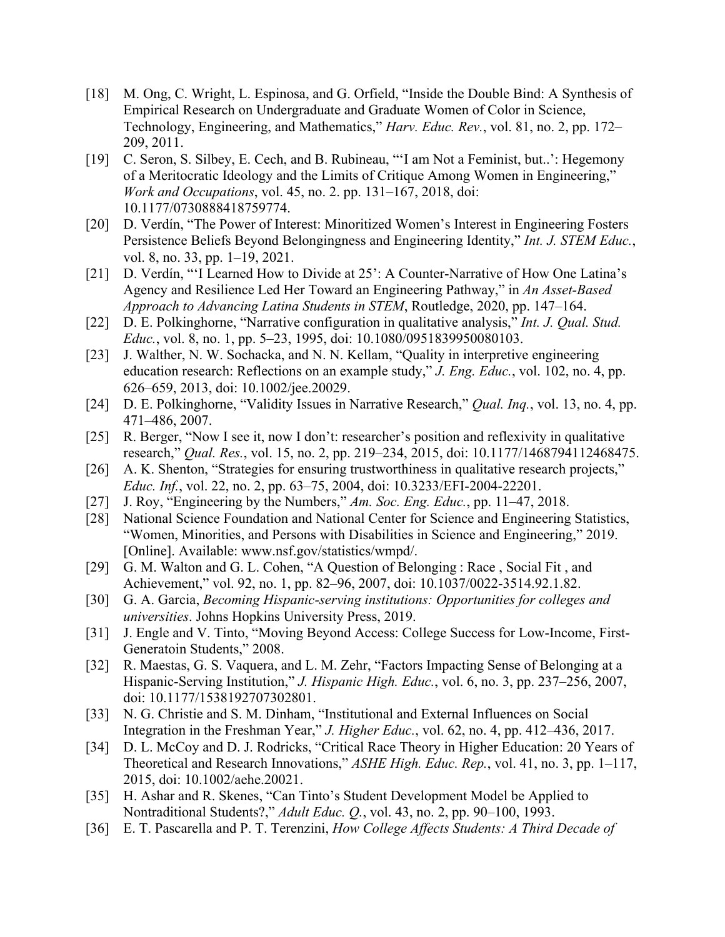- [18] M. Ong, C. Wright, L. Espinosa, and G. Orfield, "Inside the Double Bind: A Synthesis of Empirical Research on Undergraduate and Graduate Women of Color in Science, Technology, Engineering, and Mathematics," *Harv. Educ. Rev.*, vol. 81, no. 2, pp. 172– 209, 2011.
- [19] C. Seron, S. Silbey, E. Cech, and B. Rubineau, "'I am Not a Feminist, but..': Hegemony of a Meritocratic Ideology and the Limits of Critique Among Women in Engineering," *Work and Occupations*, vol. 45, no. 2. pp. 131–167, 2018, doi: 10.1177/0730888418759774.
- [20] D. Verdín, "The Power of Interest: Minoritized Women's Interest in Engineering Fosters Persistence Beliefs Beyond Belongingness and Engineering Identity," *Int. J. STEM Educ.*, vol. 8, no. 33, pp. 1–19, 2021.
- [21] D. Verdín, "'I Learned How to Divide at 25': A Counter-Narrative of How One Latina's Agency and Resilience Led Her Toward an Engineering Pathway," in *An Asset-Based Approach to Advancing Latina Students in STEM*, Routledge, 2020, pp. 147–164.
- [22] D. E. Polkinghorne, "Narrative configuration in qualitative analysis," *Int. J. Qual. Stud. Educ.*, vol. 8, no. 1, pp. 5–23, 1995, doi: 10.1080/0951839950080103.
- [23] J. Walther, N. W. Sochacka, and N. N. Kellam, "Quality in interpretive engineering education research: Reflections on an example study," *J. Eng. Educ.*, vol. 102, no. 4, pp. 626–659, 2013, doi: 10.1002/jee.20029.
- [24] D. E. Polkinghorne, "Validity Issues in Narrative Research," *Qual. Inq.*, vol. 13, no. 4, pp. 471–486, 2007.
- [25] R. Berger, "Now I see it, now I don't: researcher's position and reflexivity in qualitative research," *Qual. Res.*, vol. 15, no. 2, pp. 219–234, 2015, doi: 10.1177/1468794112468475.
- [26] A. K. Shenton, "Strategies for ensuring trustworthiness in qualitative research projects," *Educ. Inf.*, vol. 22, no. 2, pp. 63–75, 2004, doi: 10.3233/EFI-2004-22201.
- [27] J. Roy, "Engineering by the Numbers," *Am. Soc. Eng. Educ.*, pp. 11–47, 2018.
- [28] National Science Foundation and National Center for Science and Engineering Statistics, "Women, Minorities, and Persons with Disabilities in Science and Engineering," 2019. [Online]. Available: www.nsf.gov/statistics/wmpd/.
- [29] G. M. Walton and G. L. Cohen, "A Question of Belonging : Race, Social Fit, and Achievement," vol. 92, no. 1, pp. 82–96, 2007, doi: 10.1037/0022-3514.92.1.82.
- [30] G. A. Garcia, *Becoming Hispanic-serving institutions: Opportunities for colleges and universities*. Johns Hopkins University Press, 2019.
- [31] J. Engle and V. Tinto, "Moving Beyond Access: College Success for Low-Income, First-Generatoin Students," 2008.
- [32] R. Maestas, G. S. Vaquera, and L. M. Zehr, "Factors Impacting Sense of Belonging at a Hispanic-Serving Institution," *J. Hispanic High. Educ.*, vol. 6, no. 3, pp. 237–256, 2007, doi: 10.1177/1538192707302801.
- [33] N. G. Christie and S. M. Dinham, "Institutional and External Influences on Social Integration in the Freshman Year," *J. Higher Educ.*, vol. 62, no. 4, pp. 412–436, 2017.
- [34] D. L. McCoy and D. J. Rodricks, "Critical Race Theory in Higher Education: 20 Years of Theoretical and Research Innovations," *ASHE High. Educ. Rep.*, vol. 41, no. 3, pp. 1–117, 2015, doi: 10.1002/aehe.20021.
- [35] H. Ashar and R. Skenes, "Can Tinto's Student Development Model be Applied to Nontraditional Students?," *Adult Educ. Q.*, vol. 43, no. 2, pp. 90–100, 1993.
- [36] E. T. Pascarella and P. T. Terenzini, *How College Affects Students: A Third Decade of*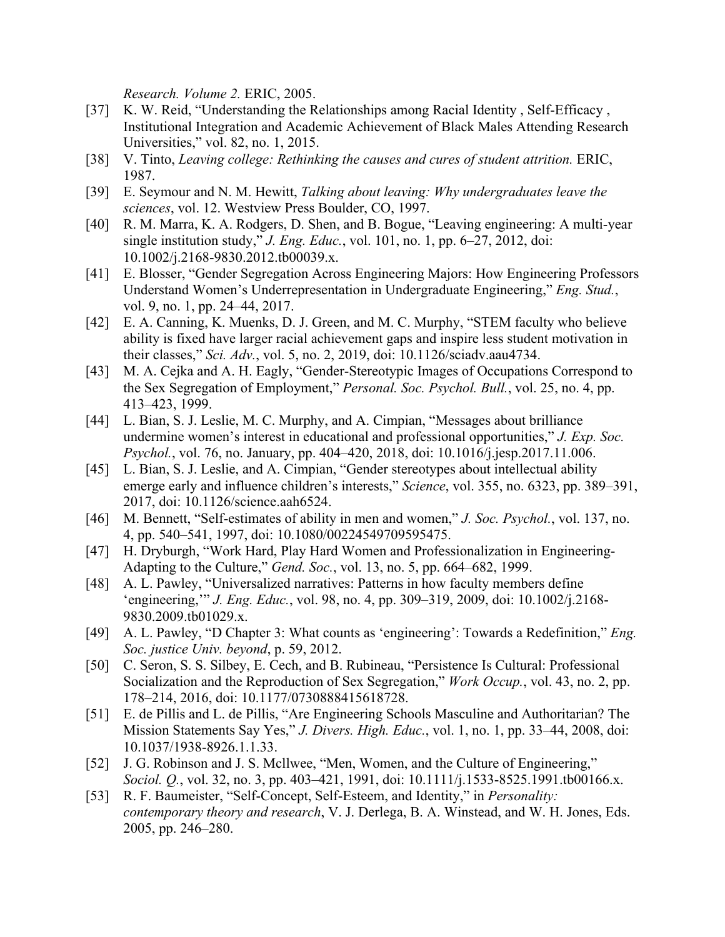*Research. Volume 2.* ERIC, 2005.

- [37] K. W. Reid, "Understanding the Relationships among Racial Identity, Self-Efficacy, Institutional Integration and Academic Achievement of Black Males Attending Research Universities," vol. 82, no. 1, 2015.
- [38] V. Tinto, *Leaving college: Rethinking the causes and cures of student attrition.* ERIC, 1987.
- [39] E. Seymour and N. M. Hewitt, *Talking about leaving: Why undergraduates leave the sciences*, vol. 12. Westview Press Boulder, CO, 1997.
- [40] R. M. Marra, K. A. Rodgers, D. Shen, and B. Bogue, "Leaving engineering: A multi-year single institution study," *J. Eng. Educ.*, vol. 101, no. 1, pp. 6–27, 2012, doi: 10.1002/j.2168-9830.2012.tb00039.x.
- [41] E. Blosser, "Gender Segregation Across Engineering Majors: How Engineering Professors Understand Women's Underrepresentation in Undergraduate Engineering," *Eng. Stud.*, vol. 9, no. 1, pp. 24–44, 2017.
- [42] E. A. Canning, K. Muenks, D. J. Green, and M. C. Murphy, "STEM faculty who believe ability is fixed have larger racial achievement gaps and inspire less student motivation in their classes," *Sci. Adv.*, vol. 5, no. 2, 2019, doi: 10.1126/sciadv.aau4734.
- [43] M. A. Cejka and A. H. Eagly, "Gender-Stereotypic Images of Occupations Correspond to the Sex Segregation of Employment," *Personal. Soc. Psychol. Bull.*, vol. 25, no. 4, pp. 413–423, 1999.
- [44] L. Bian, S. J. Leslie, M. C. Murphy, and A. Cimpian, "Messages about brilliance undermine women's interest in educational and professional opportunities," *J. Exp. Soc. Psychol.*, vol. 76, no. January, pp. 404–420, 2018, doi: 10.1016/j.jesp.2017.11.006.
- [45] L. Bian, S. J. Leslie, and A. Cimpian, "Gender stereotypes about intellectual ability emerge early and influence children's interests," *Science*, vol. 355, no. 6323, pp. 389–391, 2017, doi: 10.1126/science.aah6524.
- [46] M. Bennett, "Self-estimates of ability in men and women," *J. Soc. Psychol.*, vol. 137, no. 4, pp. 540–541, 1997, doi: 10.1080/00224549709595475.
- [47] H. Dryburgh, "Work Hard, Play Hard Women and Professionalization in Engineering-Adapting to the Culture," *Gend. Soc.*, vol. 13, no. 5, pp. 664–682, 1999.
- [48] A. L. Pawley, "Universalized narratives: Patterns in how faculty members define 'engineering,'" *J. Eng. Educ.*, vol. 98, no. 4, pp. 309–319, 2009, doi: 10.1002/j.2168- 9830.2009.tb01029.x.
- [49] A. L. Pawley, "D Chapter 3: What counts as 'engineering': Towards a Redefinition," *Eng. Soc. justice Univ. beyond*, p. 59, 2012.
- [50] C. Seron, S. S. Silbey, E. Cech, and B. Rubineau, "Persistence Is Cultural: Professional Socialization and the Reproduction of Sex Segregation," *Work Occup.*, vol. 43, no. 2, pp. 178–214, 2016, doi: 10.1177/0730888415618728.
- [51] E. de Pillis and L. de Pillis, "Are Engineering Schools Masculine and Authoritarian? The Mission Statements Say Yes," *J. Divers. High. Educ.*, vol. 1, no. 1, pp. 33–44, 2008, doi: 10.1037/1938-8926.1.1.33.
- [52] J. G. Robinson and J. S. Mcllwee, "Men, Women, and the Culture of Engineering," *Sociol. O.*, vol. 32, no. 3, pp. 403–421, 1991, doi: 10.1111/*j*.1533-8525.1991.tb00166.x.
- [53] R. F. Baumeister, "Self-Concept, Self-Esteem, and Identity," in *Personality: contemporary theory and research*, V. J. Derlega, B. A. Winstead, and W. H. Jones, Eds. 2005, pp. 246–280.